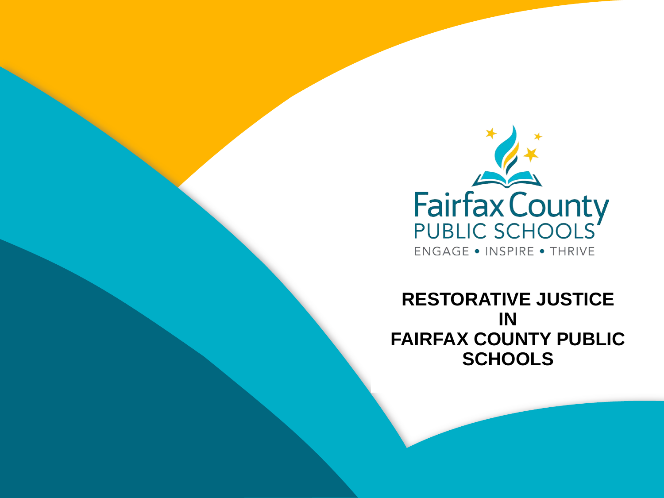

STORATIVE JUSTI MASTER TITLE STYLE **RESTORATIVE JUSTICE IN FAIRFAX COUNTY PUBLIC SCHOOLS**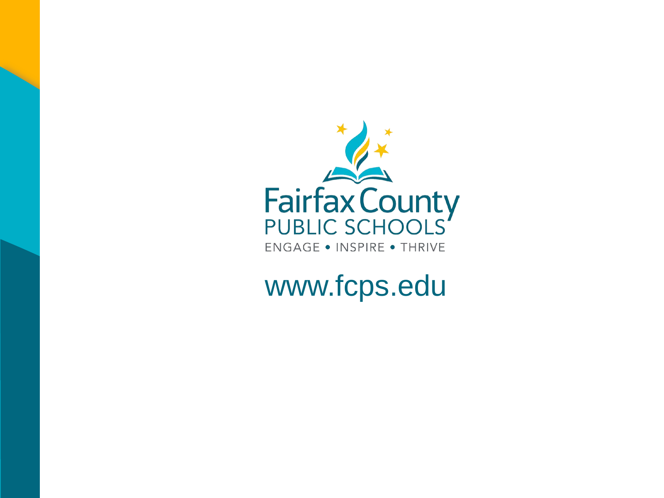

www.fcps.edu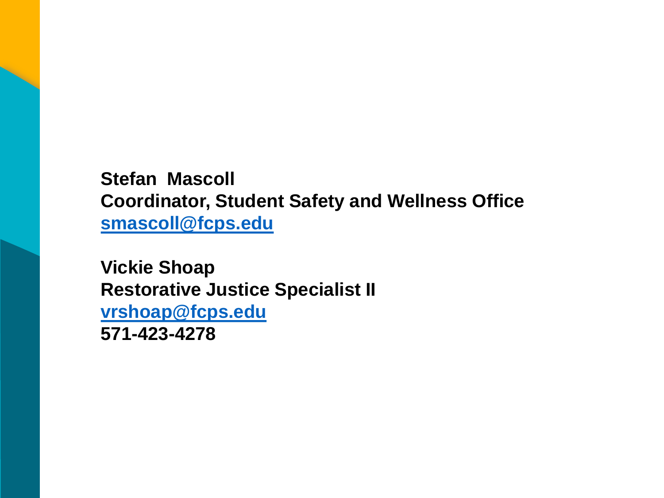**Stefan Mascoll Coordinator, Student Safety and Wellness Office [smascoll@fcps.edu](mailto:smascoll@fcps.edu)**

**Vickie Shoap Restorative Justice Specialist II [vrshoap@fcps.edu](mailto:vrshoap@fcps.edu) 571-423-4278**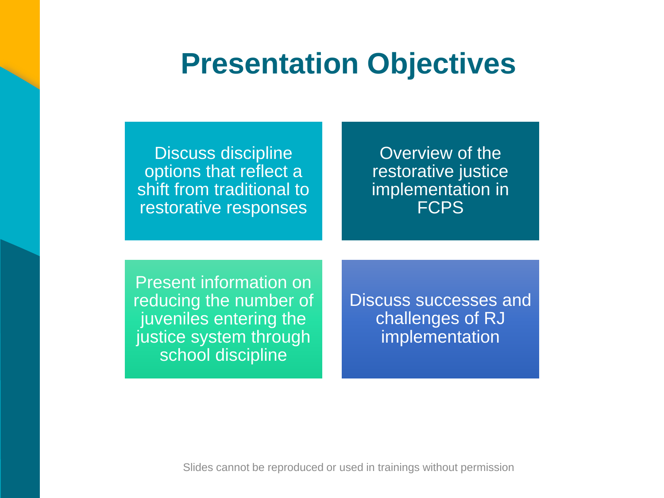## **Presentation Objectives**

Discuss discipline options that reflect a shift from traditional to restorative responses

Overview of the restorative justice implementation in **FCPS** 

Present information on reducing the number of juveniles entering the justice system through school discipline

ICCASSANT challenges of RJ Discuss successes and implementation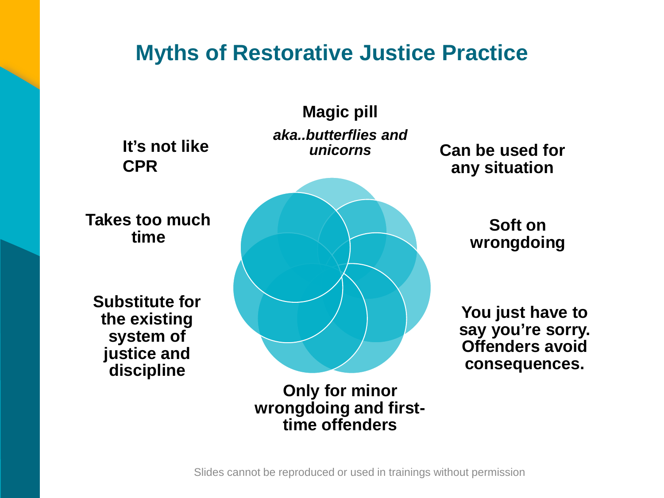#### **Myths of Restorative Justice Practice**

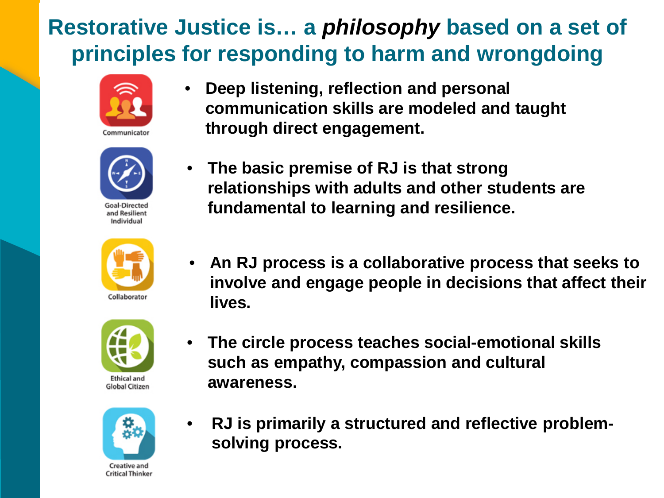### **Restorative Justice is… a** *philosophy* **based on a set of principles for responding to harm and wrongdoing**





and Resilient Individual





**Global Citizen** 



Creative and **Critical Thinker** 

- **Deep listening, reflection and personal communication skills are modeled and taught through direct engagement.**
- **The basic premise of RJ is that strong relationships with adults and other students are fundamental to learning and resilience.** 
	- involve and engage people in decisions that affect their<br>lives • **An RJ process is a collaborative process that seeks to lives.**
- **The circle process teaches social-emotional skills such as empathy, compassion and cultural awareness.**
- **RJ is primarily a structured and reflective problemsolving process.**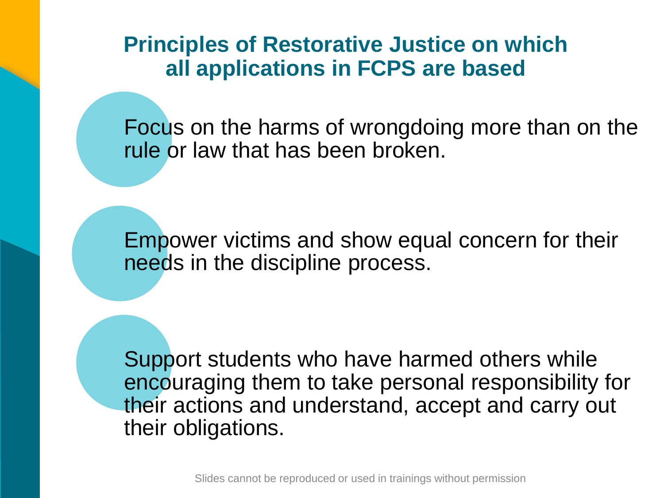**Principles of Restorative Justice on which all applications in FCPS are based**

Focus on the harms of wrongdoing more than on the rule or law that has been broken.

Empower victims and show equal concern for their needs in the discipline process.

Support students who have harmed others while encouraging them to take personal responsibility for their actions and understand, accept and carry out their obligations.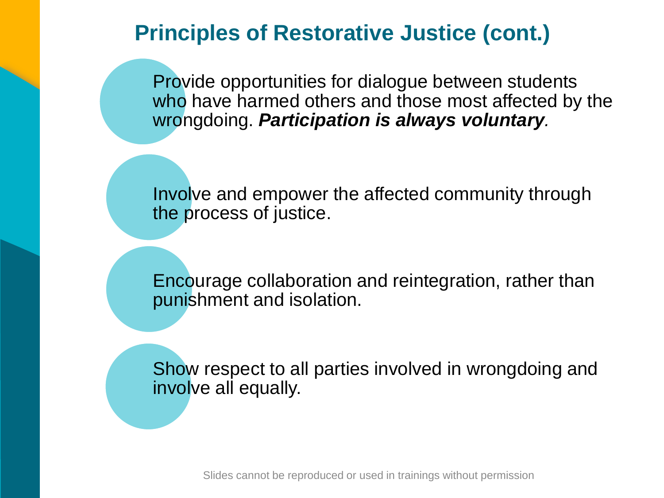#### **Principles of Restorative Justice (cont.)**

Provide opportunities for dialogue between students who have harmed others and those most affected by the wrongdoing. *Participation is always voluntary.*

Involve and empower the affected community through the process of justice.

egralion, rather than<br>... Encourage collaboration and reintegration, rather than punishment and isolation.

Show respect to all parties involved in wrongdoing and involve all equally.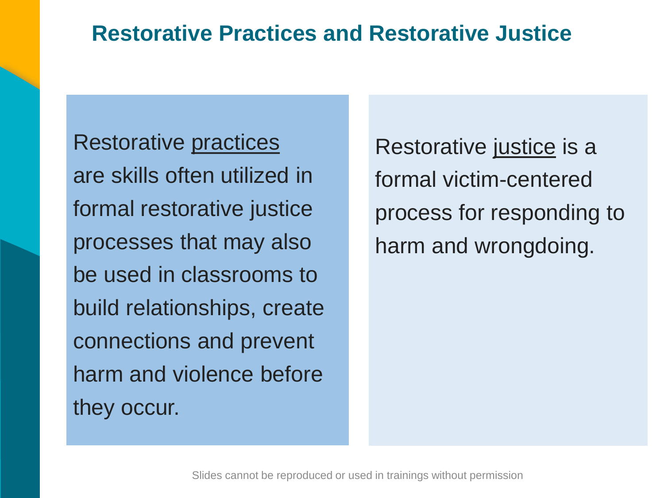#### **Restorative Practices and Restorative Justice**

Restorative practices are skills often utilized in formal restorative justice processes that may also be used in classrooms to build relationships, create connections and prevent harm and violence before they occur.

Restorative justice is a formal victim-centered process for responding to harm and wrongdoing.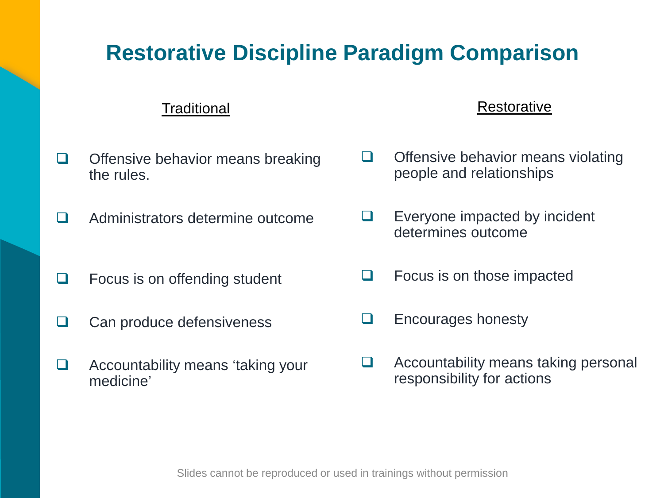#### **Restorative Discipline Paradigm Comparison**

#### **Traditional**

- $\Box$  Offensive behavior means breaking the rules.
- **Q** Administrators determine outcome
- $\Box$  Focus is on offending student
- $\Box$  Can produce defensiveness
- $\Box$  Accountability means 'taking your medicine'

#### **Restorative**

- $\Box$  Offensive behavior means violating people and relationships
- $\Box$  Everyone impacted by incident determines outcome
- CLICK TO EDITOR Focus is on those impacted
- **D** Encourages honesty
- Accountability means taking personal responsibility for actions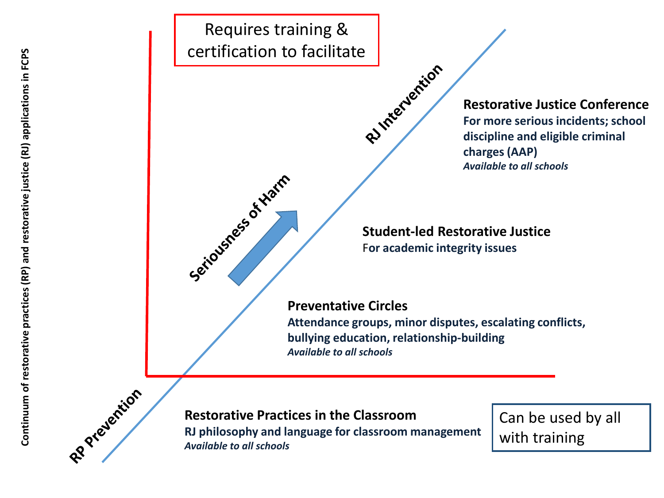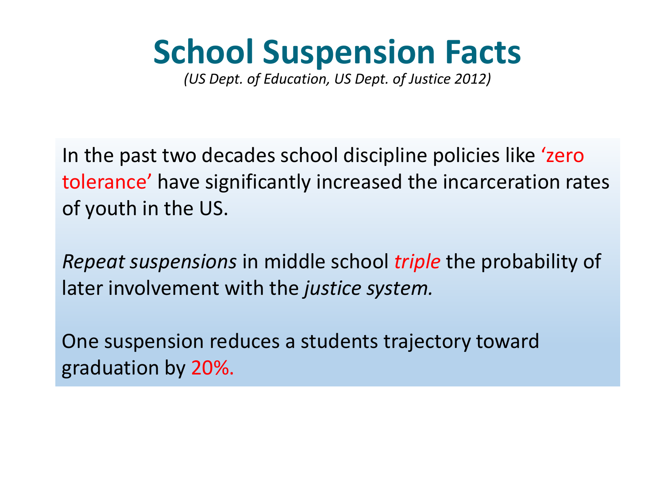# **School Suspension Facts**

*(US Dept. of Education, US Dept. of Justice 2012)* 

In the past two decades school discipline policies like 'zero tolerance' have significantly increased the incarceration rates of youth in the US.

*Repeat suspensions* in middle school *triple* the probability of later involvement with the *justice system.* 

One suspension reduces a students trajectory toward graduation by 20%.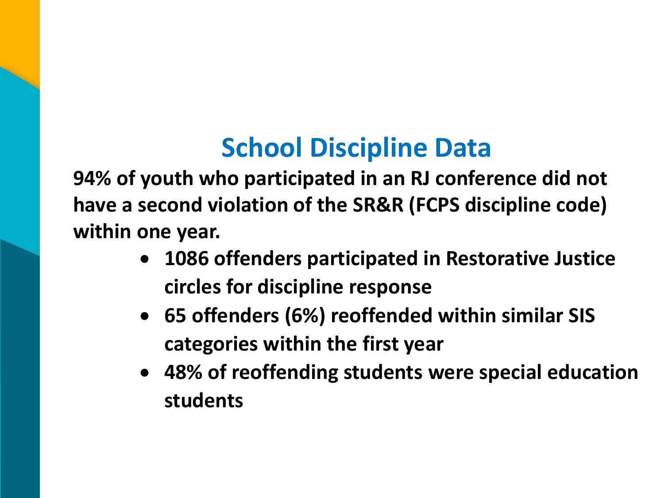## **School Discipline Data**

**94% of youth who participated in an RJ conference did not have a second violation of the SR&R (FCPS discipline code) within one year.**

- $\mathbf{C}$ • **1086 offenders participated in Restorative Justice circles for discipline response**
- **65 offenders (6%) reoffended within similar SIS categories within the first year**
- **48% of reoffending students were special education students**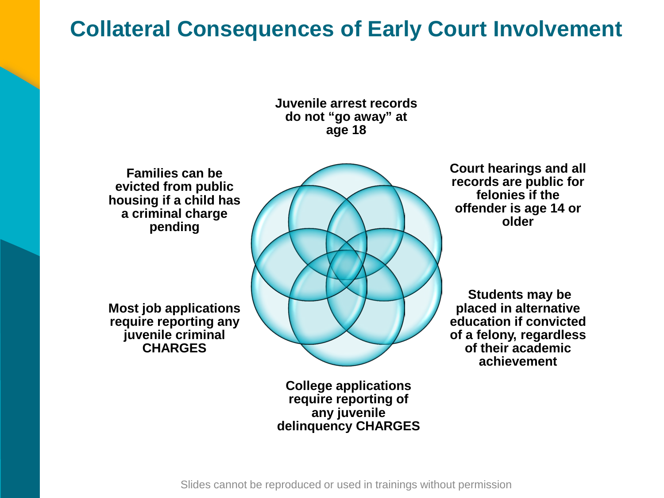#### **Collateral Consequences of Early Court Involvement**



**Families can be evicted from public housing if a child has a criminal charge pending** 

**Most job applications require reporting any juvenile criminal CHARGES**



**College applications require reporting of any juvenile delinquency CHARGES**  **Court hearings and all records are public for felonies if the offender is age 14 or older**

**CLIC** Students may be placed in alternative<br>
education if convicted **placed in alternative of a felony, regardless of their academic achievement**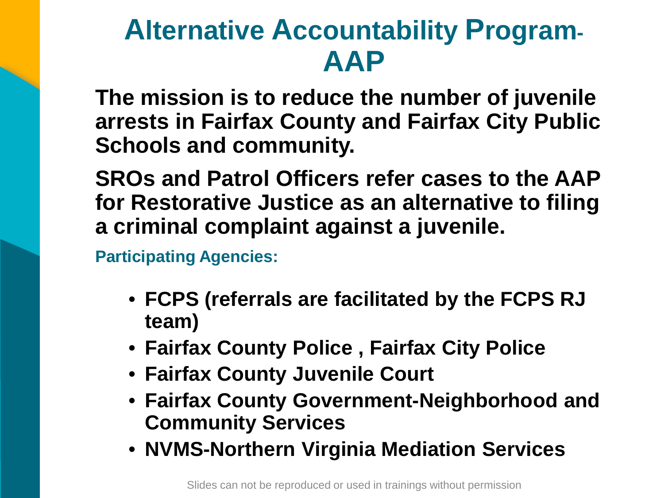## **Alternative Accountability Program-AAP**

**The mission is to reduce the number of juvenile arrests in Fairfax County and Fairfax City Public Schools and community.**

**SROs and Patrol Officers refer cases to the AAP for Restorative Justice as an alternative to filing a criminal complaint against a juvenile.** 

**Participating Agencies:**

- $hv$  the  $FCPS$  R.I.  $\frac{1}{2}$  and  $\frac{1}{2}$  and  $\frac{1}{2}$  and  $\frac{1}{2}$  and  $\frac{1}{2}$  and  $\frac{1}{2}$  and  $\frac{1}{2}$  and  $\frac{1}{2}$  and  $\frac{1}{2}$  and  $\frac{1}{2}$  and  $\frac{1}{2}$  and  $\frac{1}{2}$  and  $\frac{1}{2}$  and  $\frac{1}{2}$  and  $\frac{1}{2}$  and  $\frac{1}{2}$  a • **FCPS (referrals are facilitated by the FCPS RJ team)**
- **Fairfax County Police , Fairfax City Police**
- **Fairfax County Juvenile Court**
- **Fairfax County Government-Neighborhood and Community Services**
- **NVMS-Northern Virginia Mediation Services**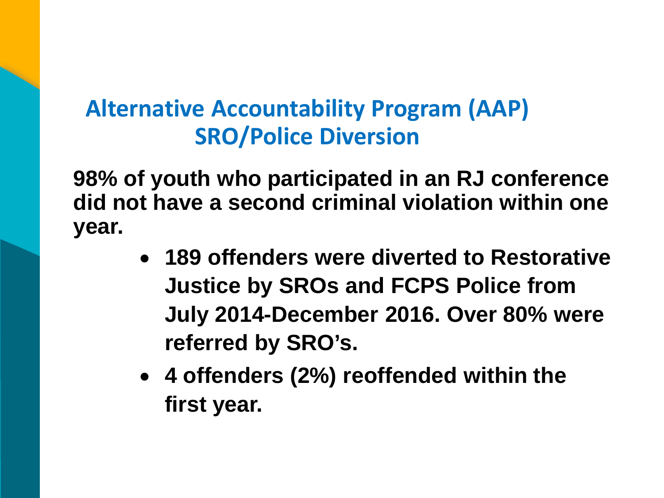### **Alternative Accountability Program (AAP) SRO/Police Diversion**

**98% of youth who participated in an RJ conference did not have a second criminal violation within one year.**

- **Justice by SROs and FCPS Police from** July 2014-December 2016. Over 80% were • **189 offenders were diverted to Restorative referred by SRO's.**
- **4 offenders (2%) reoffended within the first year.**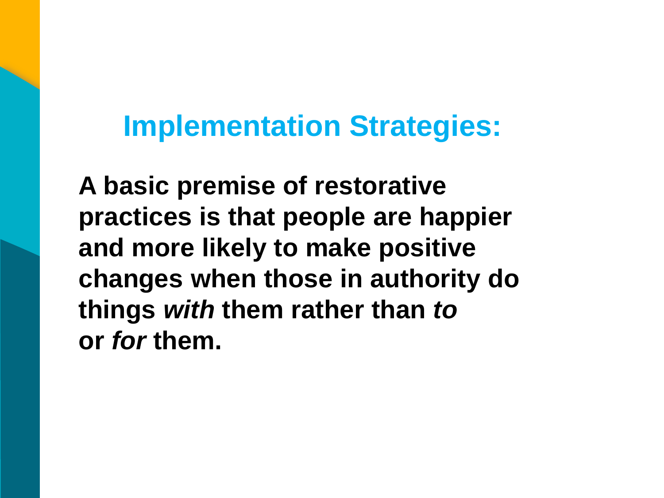## **Implementation Strategies:**

UNICY UV things *with* them rather than *to* **A basic premise of restorative practices is that people are happier and more likely to make positive changes when those in authority do or** *for* **them.**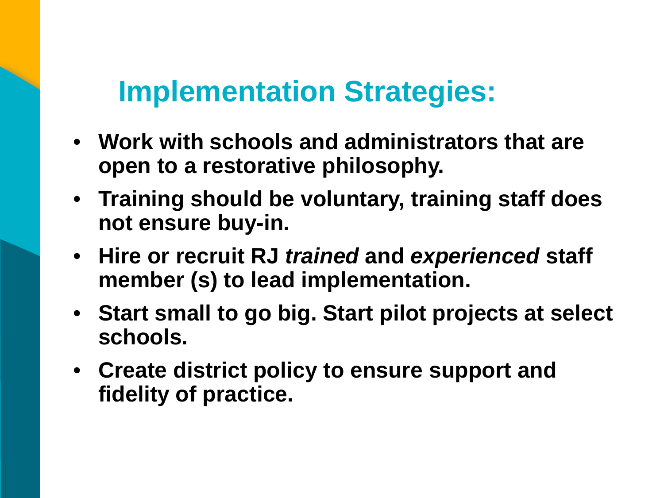## **Implementation Strategies:**

- **Work with schools and administrators that are open to a restorative philosophy.**
- **Training should be voluntary, training staff does not ensure buy-in.**
- CLICK TO EXTENSION TO EXTENSION • **Hire or recruit RJ** *trained* **and** *experienced* **staff member (s) to lead implementation.**
- **Start small to go big. Start pilot projects at select schools.**
- **Create district policy to ensure support and fidelity of practice.**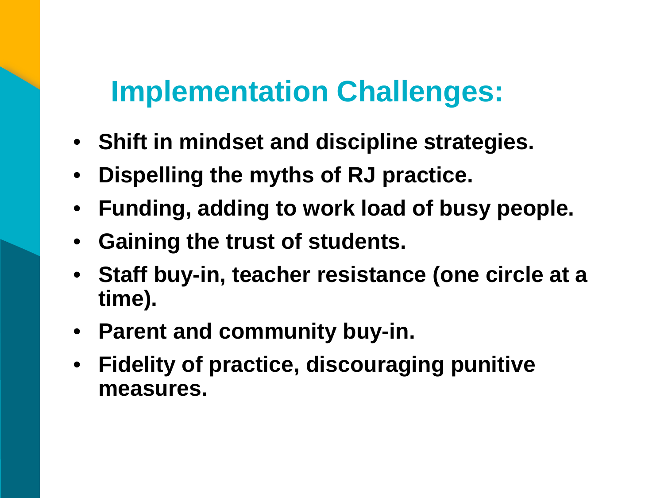## **Implementation Challenges:**

- **Shift in mindset and discipline strategies.**
- **Dispelling the myths of RJ practice.**
- **Funding, adding to work load of busy people.**
- **Gaining the trust of students.**
- $\sum_{i=1}^{n}$ MASTER TITLE STYLE STYLE STYLE STYLE STYLE • **Staff buy-in, teacher resistance (one circle at a time).**
- **Parent and community buy-in.**
- **Fidelity of practice, discouraging punitive measures.**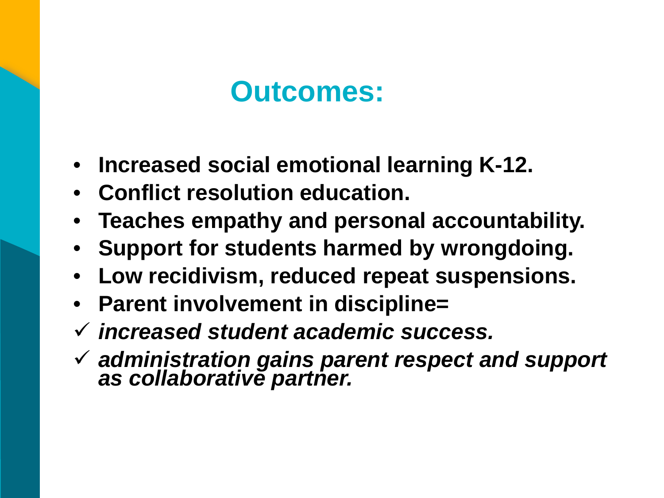## **Outcomes:**

- **Increased social emotional learning K-12.**
- **Conflict resolution education.**
- **Teaches empathy and personal accountability.**
- **Support for students harmed by wrongdoing.**
- caoponoionoi<br>^-• **Low recidivism, reduced repeat suspensions.**
- $\mathbf{S}$ • **Parent involvement in discipline=**
- *increased student academic success.*
- *administration gains parent respect and support as collaborative partner.*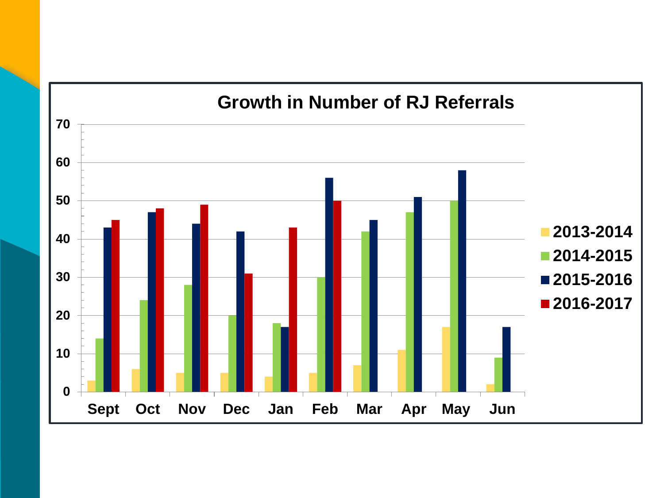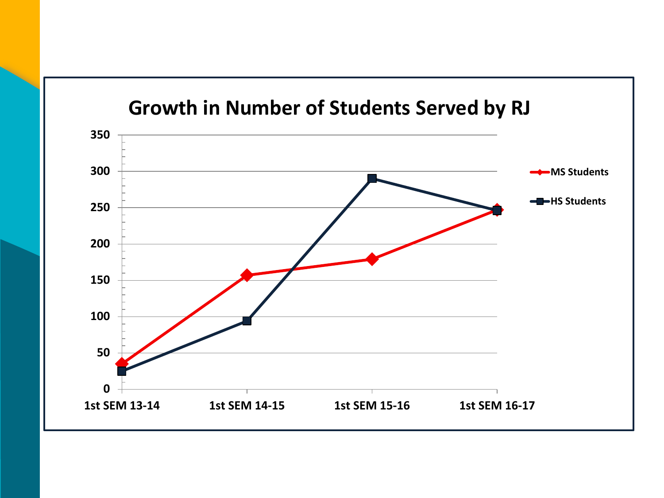